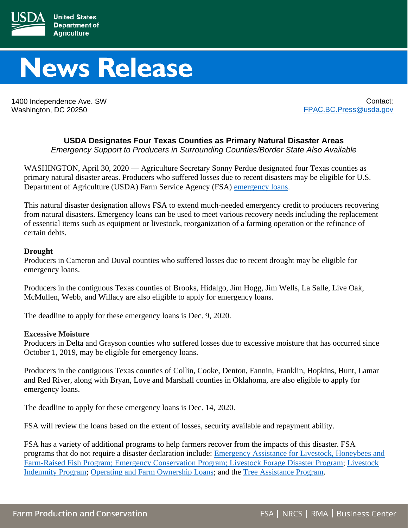

## **News Release**

1400 Independence Ave. SW Washington, DC 20250

Contact: [FPAC.BC.Press@usda.gov](mailto:FPAC.BC.Press@usda.gov)

## **USDA Designates Four Texas Counties as Primary Natural Disaster Areas**

*Emergency Support to Producers in Surrounding Counties/Border State Also Available*

WASHINGTON, April 30, 2020 — Agriculture Secretary Sonny Perdue designated four Texas counties as primary natural disaster areas. Producers who suffered losses due to recent disasters may be eligible for U.S. Department of Agriculture (USDA) Farm Service Agency (FSA) [emergency loans.](https://www.fsa.usda.gov/programs-and-services/farm-loan-programs/emergency-farm-loans/index)

This natural disaster designation allows FSA to extend much-needed emergency credit to producers recovering from natural disasters. Emergency loans can be used to meet various recovery needs including the replacement of essential items such as equipment or livestock, reorganization of a farming operation or the refinance of certain debts.

## **Drought**

Producers in Cameron and Duval counties who suffered losses due to recent drought may be eligible for emergency loans.

Producers in the contiguous Texas counties of Brooks, Hidalgo, Jim Hogg, Jim Wells, La Salle, Live Oak, McMullen, Webb, and Willacy are also eligible to apply for emergency loans.

The deadline to apply for these emergency loans is Dec. 9, 2020.

## **Excessive Moisture**

Producers in Delta and Grayson counties who suffered losses due to excessive moisture that has occurred since October 1, 2019, may be eligible for emergency loans.

Producers in the contiguous Texas counties of Collin, Cooke, Denton, Fannin, Franklin, Hopkins, Hunt, Lamar and Red River, along with Bryan, Love and Marshall counties in Oklahoma, are also eligible to apply for emergency loans.

The deadline to apply for these emergency loans is Dec. 14, 2020.

FSA will review the loans based on the extent of losses, security available and repayment ability.

FSA has a variety of additional programs to help farmers recover from the impacts of this disaster. FSA programs that do not require a disaster declaration include: [Emergency Assistance for Livestock, Honeybees and](https://www.fsa.usda.gov/programs-and-services/disaster-assistance-program/emergency-assist-for-livestock-honey-bees-fish/index)  [Farm-Raised Fish Program;](https://www.fsa.usda.gov/programs-and-services/disaster-assistance-program/emergency-assist-for-livestock-honey-bees-fish/index) [Emergency Conservation Program;](https://www.fsa.usda.gov/programs-and-services/conservation-programs/emergency-conservation/index) [Livestock Forage Disaster Program;](https://www.fsa.usda.gov/programs-and-services/disaster-assistance-program/livestock-forage/index) [Livestock](https://www.fsa.usda.gov/programs-and-services/disaster-assistance-program/livestock-indemnity/index)  [Indemnity Program;](https://www.fsa.usda.gov/programs-and-services/disaster-assistance-program/livestock-indemnity/index) [Operating and Farm Ownership Loans;](https://www.fsa.usda.gov/programs-and-services/farm-loan-programs/index) and the [Tree Assistance Program.](https://www.fsa.usda.gov/programs-and-services/disaster-assistance-program/tree-assistance-program/index)